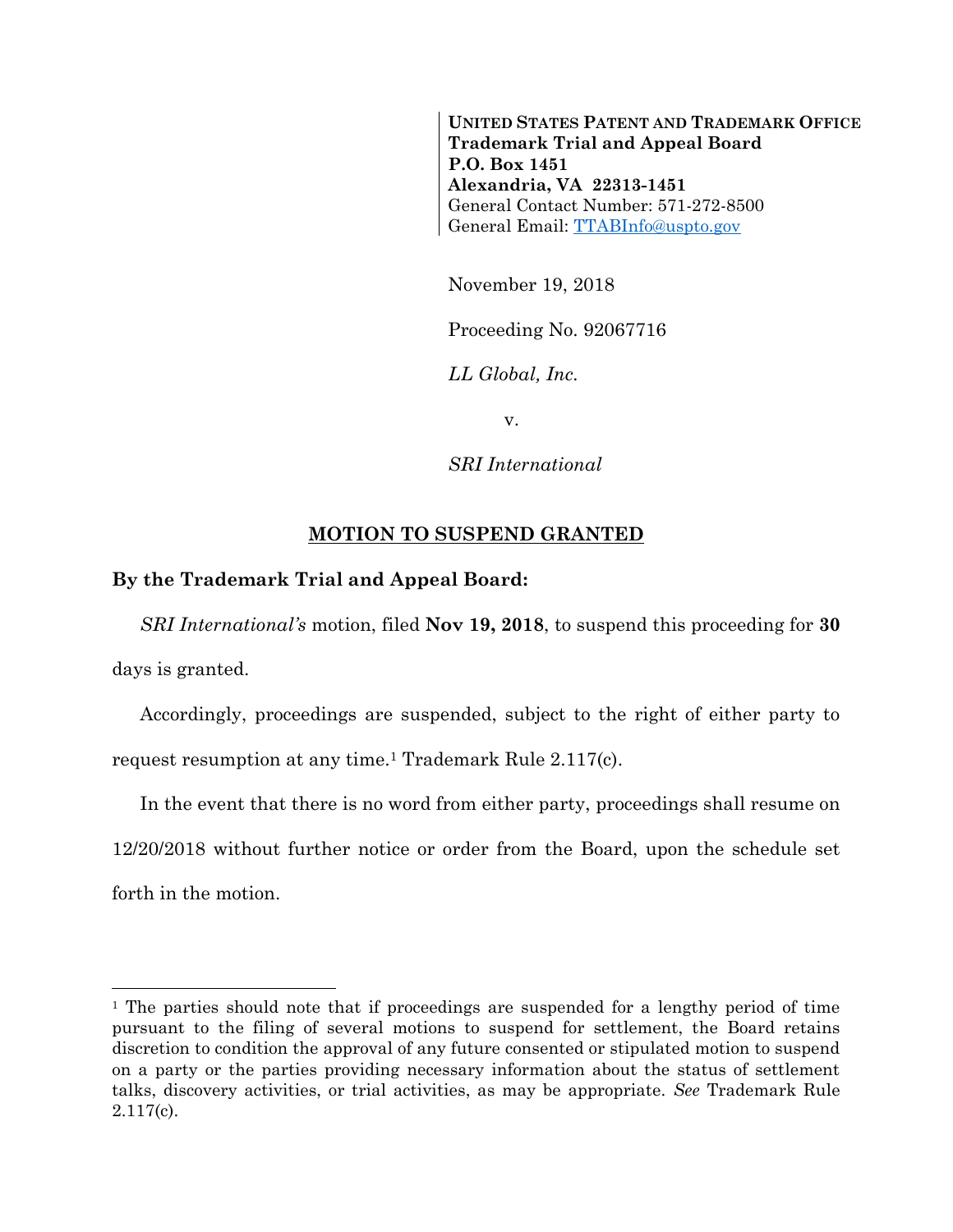**UNITED STATES PATENT AND TRADEMARK OFFICE Trademark Trial and Appeal Board P.O. Box 1451 Alexandria, VA 22313-1451** General Contact Number: 571-272-8500 General Email: [TTABInfo@uspto.gov](mailto:TTABInfo@uspto.gov)

November 19, 2018

Proceeding No. 92067716

*LL Global, Inc.*

v.

*SRI International*

## **MOTION TO SUSPEND GRANTED**

## **By the Trademark Trial and Appeal Board:**

*SRI International's* motion, filed **Nov 19, 2018**, to suspend this proceeding for **30**

days is granted.

l

Accordingly, proceedings are suspended, subject to the right of either party to request resumption at any time.<sup>1</sup> Trademark Rule 2.117(c).

In the event that there is no word from either party, proceedings shall resume on 12/20/2018 without further notice or order from the Board, upon the schedule set forth in the motion.

<sup>&</sup>lt;sup>1</sup> The parties should note that if proceedings are suspended for a lengthy period of time pursuant to the filing of several motions to suspend for settlement, the Board retains discretion to condition the approval of any future consented or stipulated motion to suspend on a party or the parties providing necessary information about the status of settlement talks, discovery activities, or trial activities, as may be appropriate. *See* Trademark Rule 2.117(c).